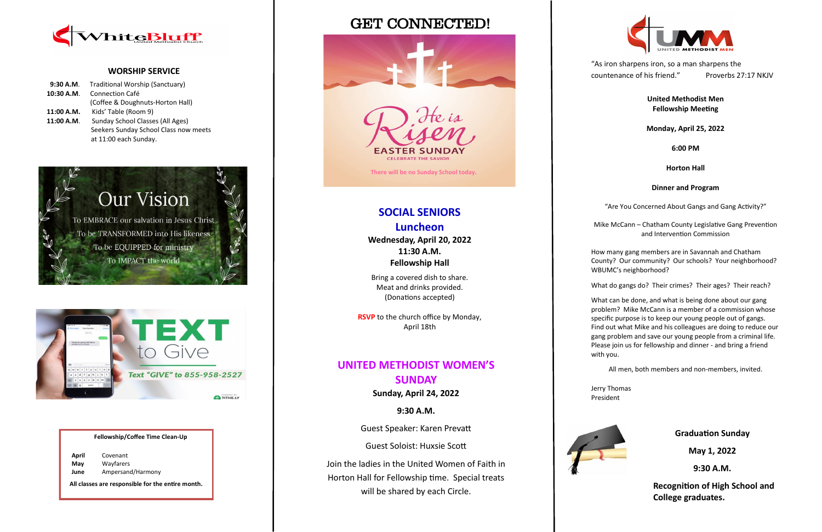# GET CONNECTED!





#### **WORSHIP SERVICE**

| 9:30 A.M.  | Traditional Worship (Sanctuary)       |
|------------|---------------------------------------|
| 10:30 A.M. | <b>Connection Café</b>                |
|            | (Coffee & Doughnuts-Horton Hall)      |
| 11:00 A.M. | Kids' Table (Room 9)                  |
| 11:00 A.M. | Sunday School Classes (All Ages)      |
|            | Seekers Sunday School Class now meets |
|            | at 11:00 each Sunday.                 |





#### **Fellowship/Coffee Time Clean-Up**

| April | Covenant          |
|-------|-------------------|
| May   | Wayfarers         |
| June  | Ampersand/Harmony |

**All classes are responsible for the entire month.**

# **SOCIAL SENIORS Luncheon**

**Wednesday, April 20, 2022 11:30 A.M. Fellowship Hall**

Bring a covered dish to share. Meat and drinks provided. (Donations accepted)

**RSVP** to the church office by Monday, April 18th

### **UNITED METHODIST WOMEN'S SUNDAY**

**Sunday, April 24, 2022**

**9:30 A.M.**

Guest Speaker: Karen Prevatt

Guest Soloist: Huxsie Scott

Join the ladies in the United Women of Faith in Horton Hall for Fellowship time. Special treats will be shared by each Circle.

"As iron sharpens iron, so a man sharpens the countenance of his friend." Proverbs 27:17 NKJV

### **United Methodist Men Fellowship Meeting**

#### **Monday, April 25, 2022**

#### **6:00 PM**

#### **Horton Hall**

#### **Dinner and Program**

"Are You Concerned About Gangs and Gang Activity?"

Mike McCann – Chatham County Legislative Gang Prevention and Intervention Commission

How many gang members are in Savannah and Chatham County? Our community? Our schools? Your neighborhood? WBUMC's neighborhood?

What do gangs do? Their crimes? Their ages? Their reach?

What can be done, and what is being done about our gang problem? Mike McCann is a member of a commission whose specific purpose is to keep our young people out of gangs. Find out what Mike and his colleagues are doing to reduce our gang problem and save our young people from a criminal life. Please join us for fellowship and dinner - and bring a friend with you.





All men, both members and non-members, invited.

Jerry Thomas President



**Graduation Sunday**

**May 1, 2022** 

**9:30 A.M.**

 **Recognition of High School and College graduates.**

**There will be no Sunday School today.**